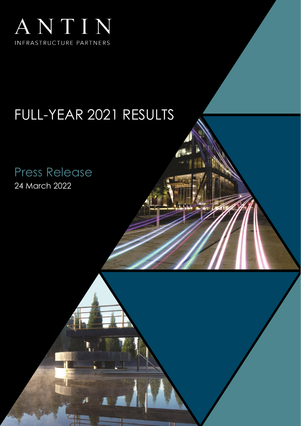

## FULL-YEAR 2021 RESULTS

Press Release 24 March 2022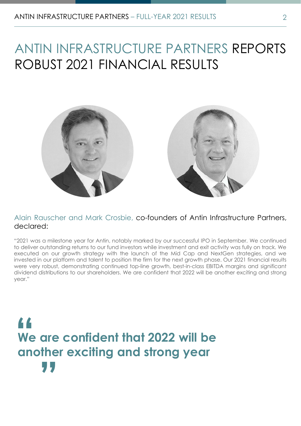## ANTIN INFRASTRUCTURE PARTNERS REPORTS ROBUST 2021 FINANCIAL RESULTS



## Alain Rauscher and Mark Crosbie, co-founders of Antin Infrastructure Partners, declared:

"2021 was a milestone year for Antin, notably marked by our successful IPO in September. We continued to deliver outstanding returns to our fund investors while investment and exit activity was fully on track. We executed on our growth strategy with the launch of the Mid Cap and NextGen strategies, and we invested in our platform and talent to position the firm for the next growth phase. Our 2021 financial results were very robust, demonstrating continued top-line growth, best-in-class EBITDA margins and significant dividend distributions to our shareholders. We are confident that 2022 will be another exciting and strong year."

# **We are confident that 2022 will be "**<br>We<br>and **another exciting and strong year "**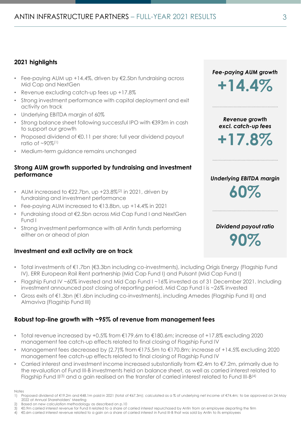## **2021 highlights**

- Fee-paying AUM up +14.4%, driven by €2.5bn fundraising across Mid Cap and NextGen
- Revenue excluding catch-up fees up +17.8%
- Strong investment performance with capital deployment and exit activity on track
- Underlying EBITDA margin of 60%
- Strong balance sheet following successful IPO with €393m in cash to support our growth
- Proposed dividend of €0.11 per share; full year dividend payout ratio of  $~90\%$ <sup>(1)</sup>
- Medium-term guidance remains unchanged

## **Strong AUM growth supported by fundraising and investment performance**

- AUM increased to  $\epsilon$ 22.7bn, up +23.8% $(2)$  in 2021, driven by fundraising and investment performance
- Fee-paying AUM increased to €13.8bn, up +14.4% in 2021
- Fundraising stood at €2.5bn across Mid Cap Fund I and NextGen Fund I
- Strong investment performance with all Antin funds performing either on or ahead of plan

## **Investment and exit activity are on track**

- Total investments of €1.7bn (€3.3bn including co-investments), including Origis Energy (Flagship Fund IV), ERR European Rail Rent partnership (Mid Cap Fund I) and Pulsant (Mid Cap Fund I)
- Flagship Fund IV ~60% invested and Mid Cap Fund I ~16% invested as of 31 December 2021. Including investment announced post closing of reporting period, Mid Cap Fund I is ~26% invested
- Gross exits of €1.3bn (€1.6bn including co-investments), including Amedes (Flagship Fund II) and Almaviva (Flagship Fund III)

## **Robust top-line growth with ~95% of revenue from management fees**

- Total revenue increased by +0.5% from  $E$ 179.6m to  $E$ 180.6m; increase of +17.8% excluding 2020 management fee catch-up effects related to final closing of Flagship Fund IV
- Management fees decreased by (2.7)% from €175.5m to €170.8m; increase of +14.5% excluding 2020 management fee catch-up effects related to final closing of Flagship Fund IV
- Carried interest and investment income increased substantially from €2.4m to €7.2m, primarily due to the revaluation of Fund III-B investments held on balance sheet, as well as carried interest related to Flagship Fund II(3) and a gain realised on the transfer of carried interest related to Fund III-B(4)
- Notes

Based on new calculation methodology as described on p.10

*Fee-paying AUM growth* **+14.4%** 

*Revenue growth excl. catch-up fees*

**+17.8%** 

## *Underlying EBITDA margin* **60%**

*Dividend payout ratio* **90%** 

<sup>1)</sup> Proposed dividend of €19.2m and €48.1m paid in 2021 (total of €67.3m); calculated as a % of underlying net income of €74.4m; to be approved on 24 May 2022 at Annual Shareholders' Meeting

<sup>3)</sup> €0.9m carried interest revenue for Fund II related to a share of carried interest repurchased by Antin from an employee departing the firm 4) €0.6m carried interest revenue related to a gain on a share of carried interest in Fund III-B that was sold by Antin to its employees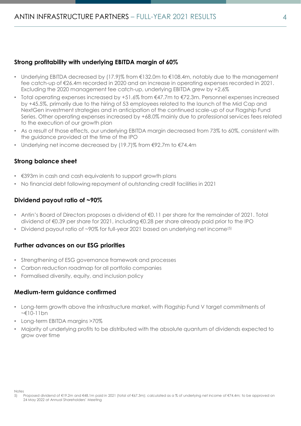## **Strong profitability with underlying EBITDA margin of 60%**

- Underlying EBITDA decreased by (17.9)% from €132.0m to €108.4m, notably due to the management fee catch-up of €26.4m recorded in 2020 and an increase in operating expenses recorded in 2021. Excluding the 2020 management fee catch-up, underlying EBITDA grew by +2.6%
- Total operating expenses increased by +51.6% from €47.7m to €72.3m. Personnel expenses increased by +45.5%, primarily due to the hiring of 53 employees related to the launch of the Mid Cap and NextGen investment strategies and in anticipation of the continued scale-up of our Flagship Fund Series. Other operating expenses increased by +68.0% mainly due to professional services fees related to the execution of our growth plan
- As a result of those effects, our underlying EBITDA margin decreased from 73% to 60%, consistent with the guidance provided at the time of the IPO
- Underlying net income decreased by (19.7)% from €92.7m to €74.4m

## **Strong balance sheet**

- €393m in cash and cash equivalents to support growth plans
- No financial debt following repayment of outstanding credit facilities in 2021

## **Dividend payout ratio of ~90%**

- Antin's Board of Directors proposes a dividend of €0.11 per share for the remainder of 2021. Total dividend of €0.39 per share for 2021, including €0.28 per share already paid prior to the IPO
- Dividend payout ratio of ~90% for full-year 2021 based on underlying net income<sup>(5)</sup>

## **Further advances on our ESG priorities**

- Strengthening of ESG governance framework and processes
- Carbon reduction roadmap for all portfolio companies
- Formalised diversity, equity, and inclusion policy

## **Medium-term guidance confirmed**

- Long-term growth above the infrastructure market, with Flagship Fund V target commitments of ~€10-11bn
- Long-term EBITDA margins >70%
- Majority of underlying profits to be distributed with the absolute quantum of dividends expected to grow over time

<sup>5)</sup> Proposed dividend of €19.2m and €48.1m paid in 2021 (total of €67.3m); calculated as a % of underlying net income of €74.4m; to be approved on 24 May 2022 at Annual Shareholders' Meeting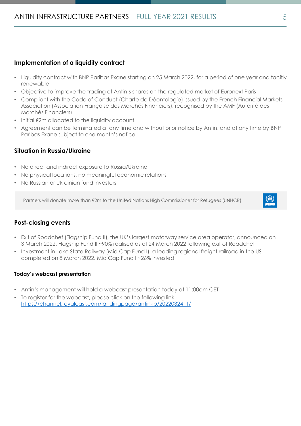## **Implementation of a liquidity contract**

- Liquidity contract with BNP Paribas Exane starting on 25 March 2022, for a period of one year and tacitly renewable
- Objective to improve the trading of Antin's shares on the regulated market of Euronext Paris
- Compliant with the Code of Conduct (Charte de Déontologie) issued by the French Financial Markets Association (Association Française des Marchés Financiers), recognised by the AMF (Autorité des Marchés Financiers)
- Initial €2m allocated to the liquidity account
- Agreement can be terminated at any time and without prior notice by Antin, and at any time by BNP Paribas Exane subject to one month's notice

## **Situation in Russia/Ukraine**

- No direct and indirect exposure to Russia/Ukraine
- No physical locations, no meaningful economic relations
- No Russian or Ukrainian fund investors

Partners will donate more than €2m to the United Nations High Commissioner for Refugees (UNHCR)

 $\binom{n}{\text{OMHCR}}$ 

## **Post-closing events**

- Exit of Roadchef (Flagship Fund II), the UK's largest motorway service area operator, announced on 3 March 2022. Flagship Fund II ~90% realised as of 24 March 2022 following exit of Roadchef
- Investment in Lake State Railway (Mid Cap Fund I), a leading regional freight railroad in the US completed on 8 March 2022. Mid Cap Fund I ~26% invested

### **Today's webcast presentation**

- Antin's management will hold a webcast presentation today at 11:00am CET
- To register for the webcast, please click on the following link: [https://channel.royalcast.com/landingpage/antin-ip/20220324\\_1/](https://channel.royalcast.com/landingpage/antin-ip/20220324_1/)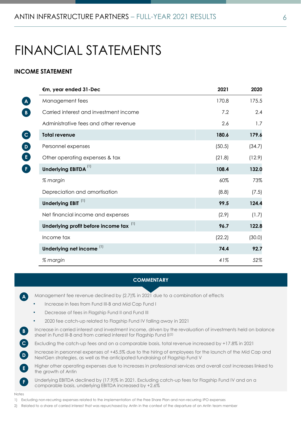## FINANCIAL STATEMENTS

### **INCOME STATEMENT**

| €m, year ended 31-Dec                   | 2021   | 2020   |
|-----------------------------------------|--------|--------|
| Management fees                         | 170.8  | 175.5  |
| Carried interest and investment income  | 7.2    | 2.4    |
| Administrative fees and other revenue   | 2.6    | 1.7    |
| <b>Total revenue</b>                    | 180.6  | 179.6  |
| Personnel expenses                      | (50.5) | (34.7) |
| Other operating expenses & tax          | (21.8) | (12.9) |
| Underlying EBITDA <sup>(1)</sup>        | 108.4  | 132.0  |
| % margin                                | 60%    | 73%    |
| Depreciation and amortisation           | (8.8)  | (7.5)  |
| Underlying EBIT <sup>(1)</sup>          | 99.5   | 124.4  |
| Net financial income and expenses       | (2.9)  | (1.7)  |
| Underlying profit before income tax (1) | 96.7   | 122.8  |
| Income tax                              | (22.2) | (30.0) |
| Underlying net income <sup>(1)</sup>    | 74.4   | 92.7   |
| % margin                                | 41%    | 52%    |

#### **COMMENTARY**

• Management fee revenue declined by (2.7)% in 2021 due to a combination of effects • Increase in fees from Fund III-B and Mid Cap Fund I • Decrease of fees in Flagship Fund II and Fund III • 2020 fee catch-up related to Flagship Fund IV falling away in 2021 • Increase in carried interest and investment income, driven by the revaluation of investments held on balance sheet in Fund III-B and from carried interest for Flagship Fund II<sup>(2)</sup> • Excluding the catch-up fees and on a comparable basis, total revenue increased by +17.8% in 2021 • Increase in personnel expenses of +45.5% due to the hiring of employees for the launch of the Mid Cap and NextGen strategies, as well as the anticipated fundraising of Flagship Fund V • Higher other operating expenses due to increases in professional services and overall cost increases linked to the growth of Antin Underlying EBITDA declined by (17.9)% in 2021. Excluding catch-up fees for Flagship Fund IV and on a comparable basis, underlying EBITDA increased by +2.6% **A B C**  $\mathbf{D}$ **E** Notes 1) Excluding non-recurring expenses related to the implementation of the Free Share Plan and non-recurring IPO expenses **F**

2) Related to a share of carried interest that was repurchased by Antin in the context of the departure of an Antin team member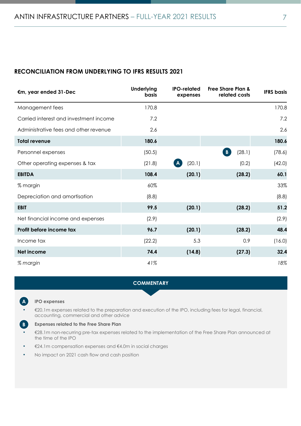## **RECONCILIATION FROM UNDERLYING TO IFRS RESULTS 2021**

| €m, year ended 31-Dec                  | <b>Underlying</b><br><b>basis</b> | <b>IPO-related</b><br>expenses | <b>Free Share Plan &amp;</b><br>related costs | <b>IFRS</b> basis |
|----------------------------------------|-----------------------------------|--------------------------------|-----------------------------------------------|-------------------|
| Management fees                        | 170.8                             |                                |                                               | 170.8             |
| Carried interest and investment income | 7.2                               |                                |                                               | 7.2               |
| Administrative fees and other revenue  | 2.6                               |                                |                                               | 2.6               |
| <b>Total revenue</b>                   | 180.6                             |                                |                                               | 180.6             |
| Personnel expenses                     | (50.5)                            |                                | $\, {\bf B} \,$<br>(28.1)                     | (78.6)            |
| Other operating expenses & tax         | (21.8)                            | (20.1)<br>$\mathbf{A}$         | (0.2)                                         | (42.0)            |
| <b>EBITDA</b>                          | 108.4                             | (20.1)                         | (28.2)                                        | 60.1              |
| % margin                               | 60%                               |                                |                                               | 33%               |
| Depreciation and amortisation          | (8.8)                             |                                |                                               | (8.8)             |
| <b>EBIT</b>                            | 99.5                              | (20.1)                         | (28.2)                                        | 51.2              |
| Net financial income and expenses      | (2.9)                             |                                |                                               | (2.9)             |
| Profit before income tax               | 96.7                              | (20.1)                         | (28.2)                                        | 48.4              |
| Income tax                             | (22.2)                            | 5.3                            | 0.9                                           | (16.0)            |
| <b>Net income</b>                      | 74.4                              | (14.8)                         | (27.3)                                        | 32.4              |
| % margin                               | 41%                               |                                |                                               | 18%               |

#### **COMMENTARY**



**B**

#### • **IPO expenses**

• €20.1m expenses related to the preparation and execution of the IPO, including fees for legal, financial, accounting, commercial and other advice

#### • **Expenses related to the Free Share Plan**

• €28.1m non-recurring pre-tax expenses related to the implementation of the Free Share Plan announced at the time of the IPO

- €24.1m compensation expenses and €4.0m in social charges
- No impact on 2021 cash flow and cash position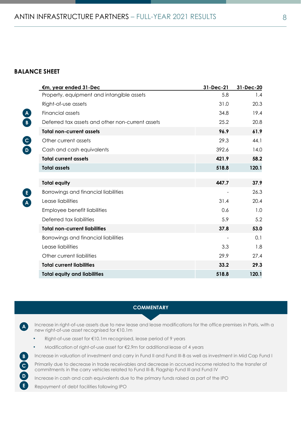## **BALANCE SHEET**

|               | €m, year ended 31-Dec                            | 31-Dec-21 | 31-Dec-20 |
|---------------|--------------------------------------------------|-----------|-----------|
|               | Property, equipment and intangible assets        | 5.8       | 1.4       |
|               | Right-of-use assets                              | 31.0      | 20.3      |
|               | Financial assets                                 | 34.8      | 19.4      |
| $\frac{A}{B}$ | Deferred tax assets and other non-current assets | 25.2      | 20.8      |
|               | <b>Total non-current assets</b>                  | 96.9      | 61.9      |
|               | Other current assets                             | 29.3      | 44.1      |
| $\frac{C}{D}$ | Cash and cash equivalents                        | 392.6     | 14.0      |
|               | <b>Total current assets</b>                      | 421.9     | 58.2      |
|               | <b>Total assets</b>                              | 518.8     | 120.1     |
|               |                                                  |           |           |
|               | <b>Total equity</b>                              | 447.7     | 37.9      |
|               | Borrowings and financial liabilities             |           | 26.3      |
| $rac{E}{A}$   | Lease liabilities                                | 31.4      | 20.4      |
|               | Employee benefit liabilities                     | 0.6       | 1.0       |
|               | Deferred tax liabilities                         | 5.9       | 5.2       |
|               | <b>Total non-current liabilities</b>             | 37.8      | 53.0      |
|               | Borrowings and financial liabilities             |           | 0.1       |
|               | Lease liabilities                                | 3.3       | 1.8       |
|               | Other current liabilities                        | 29.9      | 27.4      |
|               | <b>Total current liabilities</b>                 | 33.2      | 29.3      |
|               | <b>Total equity and liabilities</b>              | 518.8     | 120.1     |

#### **COMMENTARY**

• Increase in right-of-use assets due to new lease and lease modifications for the office premises in Paris, with a new right-of-use asset recognised for €10.1m **A**

- Right-of-use asset for €10.1m recognised, lease period of 9 years
- Modification of right-of-use asset for €2.9m for additional lease of 4 years
- Increase in valuation of investment and carry in Fund II and Fund III-B as well as investment in Mid Cap Fund I

• Primarily due to decrease in trade receivables and decrease in accrued income related to the transfer of commitments in the carry vehicles related to Fund III-B, Flagship Fund III and Fund IV

• Increase in cash and cash equivalents due to the primary funds raised as part of the IPO

• Repayment of debt facilities following IPO

**D E**

**B C**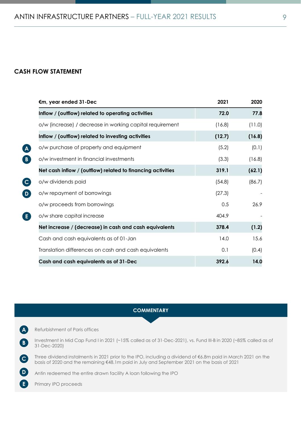### **CASH FLOW STATEMENT**

| €m, year ended 31-Dec                                       | 2021   | 2020   |
|-------------------------------------------------------------|--------|--------|
| Inflow / (outflow) related to operating activities          | 72.0   | 77.8   |
| o/w (increase) / decrease in working capital requirement    | (16.8) | (11.0) |
| Inflow / (outflow) related to investing activities          | (12.7) | (16.8) |
| o/w purchase of property and equipment                      | (5.2)  | (0.1)  |
| o/w investment in financial investments                     | (3.3)  | (16.8) |
| Net cash inflow / (outflow) related to financing activities | 319.1  | (62.1) |
| o/w dividends paid                                          | (54.8) | (86.7) |
| o/w repayment of borrowings                                 | (27.3) |        |
| o/w proceeds from borrowings                                | 0.5    | 26.9   |
| o/w share capital increase                                  | 404.9  |        |
| Net increase / (decrease) in cash and cash equivalents      | 378.4  | (1.2)  |
| Cash and cash equivalents as of 01-Jan                      | 14.0   | 15.6   |
| Translation differences on cash and cash equivalents        | 0.1    | (0.4)  |
| Cash and cash equivalents as of 31-Dec                      | 392.6  | 14.0   |

#### **COMMENTARY**

• Refurbishment of Paris offices **A**

**B**

**C**

**E**

• Investment in Mid Cap Fund I in 2021 (~15% called as of 31-Dec-2021), vs. Fund III-B in 2020 (~85% called as of 31-Dec-2020)

• Three dividend instalments in 2021 prior to the IPO, including a dividend of €6.8m paid in March 2021 on the basis of 2020 and the remaining €48.1m paid in July and September 2021 on the basis of 2021

• Antin redeemed the entire drawn facility A loan following the IPO **D**

Primary IPO proceeds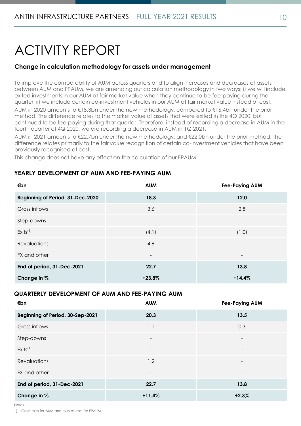## ACTIVITY REPORT

## **Change in calculation methodology for assets under management**

To improve the comparability of AUM across quarters and to align increases and decreases of assets between AUM and FPAUM, we are amending our calculation methodology in two ways: i) we will include exited investments in our AUM at fair market value when they continue to be fee-paying during the quarter, ii) we include certain co-investment vehicles in our AUM at fair market value instead of cost.

AUM in 2020 amounts to €18.3bn under the new methodology, compared to €16.4bn under the prior method. The difference relates to the market value of assets that were exited in the 4Q 2020, but continued to be fee-paying during that quarter. Therefore, instead of recording a decrease in AUM in the fourth quarter of 4Q 2020, we are recording a decrease in AUM in 1Q 2021.

AUM in 2021 amounts to €22.7bn under the new methodology, and €22.0bn under the prior method. The difference relates primarily to the fair value recognition of certain co-investment vehicles that have been previously recognised at cost.

This change does not have any effect on the calculation of our FPAUM.

## **YEARLY DEVELOPMENT OF AUM AND FEE-PAYING AUM**

| €bn                              | <b>AUM</b>               | <b>Fee-Paying AUM</b>    |
|----------------------------------|--------------------------|--------------------------|
| Beginning of Period, 31-Dec-2020 | 18.3                     | 12.0                     |
| Gross inflows                    | 3.6                      | 2.8                      |
| Step-downs                       | $\overline{\phantom{a}}$ | $\overline{\phantom{a}}$ |
| $Exits^{(1)}$                    | (4.1)                    | (1.0)                    |
| <b>Revaluations</b>              | 4.9                      | $\overline{\phantom{a}}$ |
| FX and other                     |                          |                          |
| End of period, 31-Dec-2021       | 22.7                     | 13.8                     |
| Change in %                      | $+23.8%$                 | $+14.4%$                 |

## **QUARTERLY DEVELOPMENT OF AUM AND FEE-PAYING AUM**

| €bn                              | <b>AUM</b>               | <b>Fee-Paying AUM</b>    |
|----------------------------------|--------------------------|--------------------------|
| Beginning of Period, 30-Sep-2021 | 20.3                     | 13.5                     |
| Gross inflows                    | 1.1                      | 0.3                      |
| Step-downs                       | $\overline{\phantom{a}}$ | $\overline{\phantom{a}}$ |
| $Exists^{(1)}$                   | $\overline{\phantom{0}}$ | $\overline{\phantom{a}}$ |
| <b>Revaluations</b>              | 1.2                      | $\overline{\phantom{a}}$ |
| FX and other                     |                          | $\overline{\phantom{0}}$ |
| End of period, 31-Dec-2021       | 22.7                     | 13.8                     |
| Change in %                      | $+11.4%$                 | $+2.3%$                  |

Notes

1) Gross exits for AUM and exits at cost for FPAUM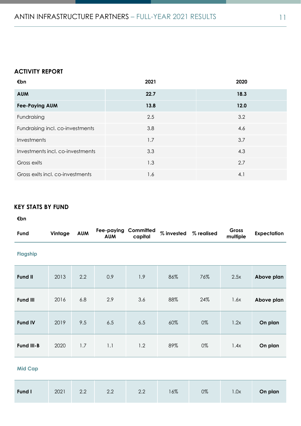## **ACTIVITY REPORT**

| €bn                              | 2021 | 2020 |
|----------------------------------|------|------|
| <b>AUM</b>                       | 22.7 | 18.3 |
| <b>Fee-Paying AUM</b>            | 13.8 | 12.0 |
| Fundraising                      | 2.5  | 3.2  |
| Fundraising incl. co-investments | 3.8  | 4.6  |
| Investments                      | 1.7  | 3.7  |
| Investments incl. co-investments | 3.3  | 4.3  |
| Gross exits                      | 1.3  | 2.7  |
| Gross exits incl. co-investments | 1.6  | 4.1  |

## **KEY STATS BY FUND**

#### **€bn**

| Fund            | Vintage | <b>AUM</b> | Fee-paying<br><b>AUM</b> | Committed<br>capital | % invested | % realised | Gross<br>multiple | <b>Expectation</b> |
|-----------------|---------|------------|--------------------------|----------------------|------------|------------|-------------------|--------------------|
| <b>Flagship</b> |         |            |                          |                      |            |            |                   |                    |
| <b>Fund II</b>  | 2013    | 2.2        | 0.9                      | 1.9                  | 86%        | 76%        | 2.5x              | Above plan         |
| <b>Fund III</b> | 2016    | 6.8        | 2.9                      | 3.6                  | 88%        | 24%        | 1.6x              | Above plan         |
| <b>Fund IV</b>  | 2019    | 9.5        | 6.5                      | 6.5                  | 60%        | 0%         | 1.2x              | On plan            |
| Fund III-B      | 2020    | 1.7        | 1.1                      | 1.2                  | 89%        | 0%         | 1.4x              | On plan            |

## **Mid Cap**

| Fund I | 2021 | $-1$ 2.2 | 2.2 | 2.2 | 16% | 0% | 1.0x | On plan |
|--------|------|----------|-----|-----|-----|----|------|---------|
|--------|------|----------|-----|-----|-----|----|------|---------|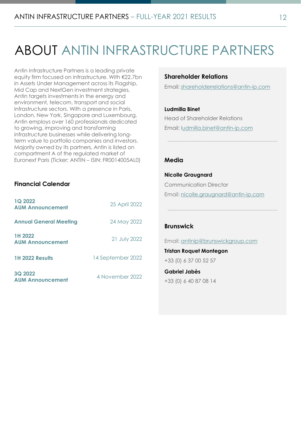## ABOUT ANTIN INFRASTRUCTURE PARTNERS

Antin Infrastructure Partners is a leading private equity firm focused on infrastructure. With €22.7bn in Assets Under Management across its Flagship, Mid Cap and NextGen investment strategies, Antin targets investments in the energy and environment, telecom, transport and social infrastructure sectors. With a presence in Paris, London, New York, Singapore and Luxembourg, Antin employs over 160 professionals dedicated to growing, improving and transforming infrastructure businesses while delivering longterm value to portfolio companies and investors. Majority owned by its partners, Antin is listed on compartment A of the regulated market of Euronext Paris (Ticker: ANTIN – ISIN: FR0014005AL0)

## **Financial Calendar**

| <b>1Q 2022</b><br><b>AUM Announcement</b> | 25 April 2022     |
|-------------------------------------------|-------------------|
| <b>Annual General Meeting</b>             | 24 May 2022       |
| 1H 2022<br><b>AUM Announcement</b>        | 21 July 2022      |
| <b>1H 2022 Results</b>                    | 14 September 2022 |
| 3Q 2022<br><b>AUM Announcement</b>        | 4 November 2022   |

### **Shareholder Relations**

Email: [shareholderrelations@antin-ip.com](mailto:shareholderrelations@antin-ip.com)

#### **Ludmilla Binet**

Head of Shareholder Relations Email: [ludmilla.binet@antin-ip.com](mailto:Ludmilla.binet@antin-ip.com)

### **Media**

**Nicolle Graugnard** Communication Director Email: n[icolle.graugnard@antin-ip.com](mailto:Nicolle.graugnard@antin-ip.com)

#### **Brunswick**

Email: [antinip@brunswickgroup.com](mailto:antinip@brunswickgroup.com)

**Tristan Roquet Montegon** +33 (0) 6 37 00 52 57

**Gabriel Jabès** +33 (0) 6 40 87 08 14